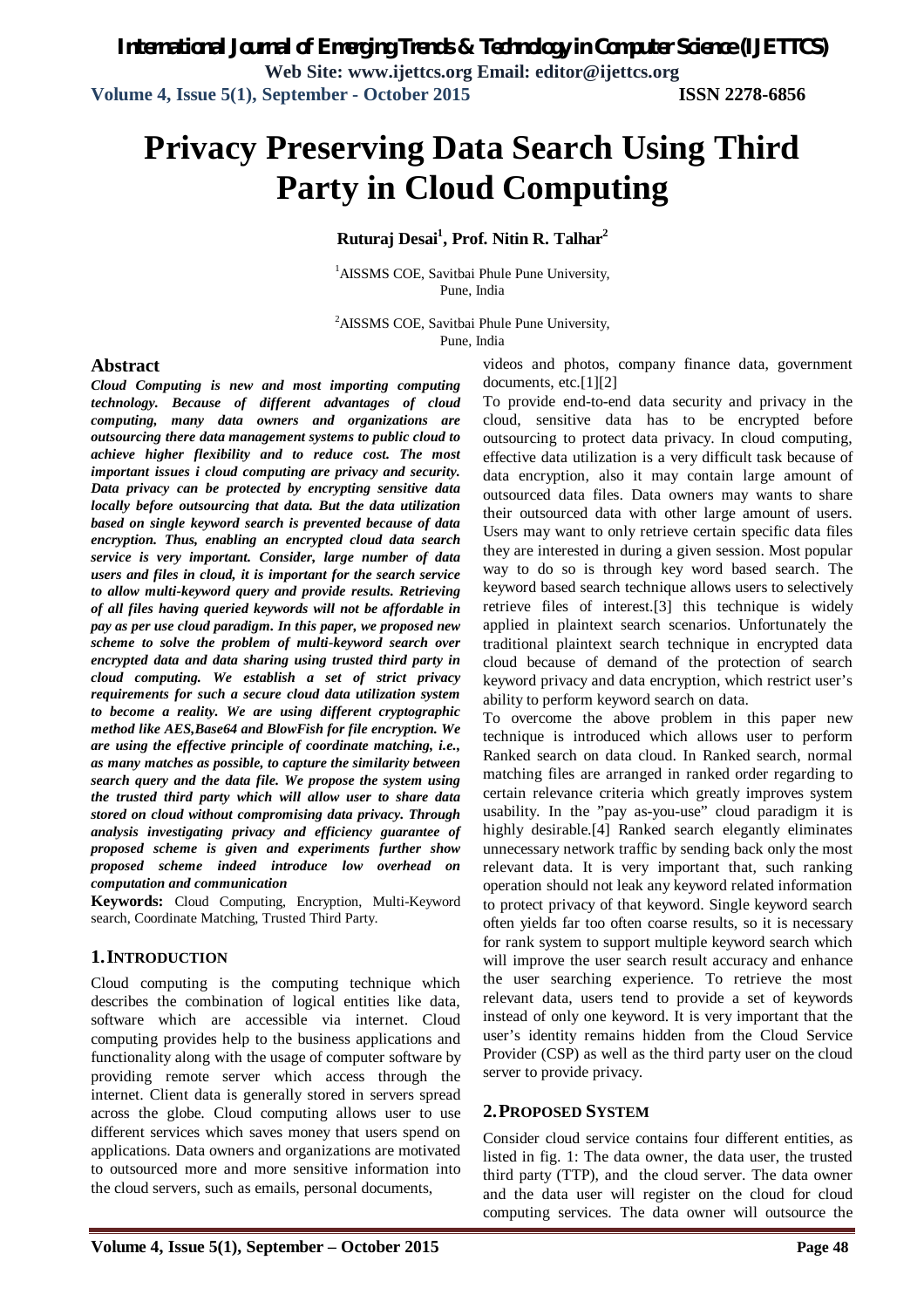# **Privacy Preserving Data Search Using Third Party in Cloud Computing**

### **Ruturaj Desai<sup>1</sup> , Prof. Nitin R. Talhar<sup>2</sup>**

<sup>1</sup>AISSMS COE, Savitbai Phule Pune University, Pune, India

<sup>2</sup>AISSMS COE, Savitbai Phule Pune University,

Pune, India

#### **Abstract**

*Cloud Computing is new and most importing computing technology. Because of different advantages of cloud computing, many data owners and organizations are outsourcing there data management systems to public cloud to achieve higher flexibility and to reduce cost. The most important issues i cloud computing are privacy and security. Data privacy can be protected by encrypting sensitive data locally before outsourcing that data. But the data utilization based on single keyword search is prevented because of data encryption. Thus, enabling an encrypted cloud data search service is very important. Consider, large number of data users and files in cloud, it is important for the search service to allow multi-keyword query and provide results. Retrieving of all files having queried keywords will not be affordable in pay as per use cloud paradigm. In this paper, we proposed new scheme to solve the problem of multi-keyword search over encrypted data and data sharing using trusted third party in cloud computing. We establish a set of strict privacy requirements for such a secure cloud data utilization system to become a reality. We are using different cryptographic method like AES,Base64 and BlowFish for file encryption. We are using the effective principle of coordinate matching, i.e., as many matches as possible, to capture the similarity between search query and the data file. We propose the system using the trusted third party which will allow user to share data stored on cloud without compromising data privacy. Through analysis investigating privacy and efficiency guarantee of proposed scheme is given and experiments further show proposed scheme indeed introduce low overhead on computation and communication*

**Keywords:** Cloud Computing, Encryption, Multi-Keyword search, Coordinate Matching, Trusted Third Party.

#### **1.INTRODUCTION**

Cloud computing is the computing technique which describes the combination of logical entities like data, software which are accessible via internet. Cloud computing provides help to the business applications and functionality along with the usage of computer software by providing remote server which access through the internet. Client data is generally stored in servers spread across the globe. Cloud computing allows user to use different services which saves money that users spend on applications. Data owners and organizations are motivated to outsourced more and more sensitive information into the cloud servers, such as emails, personal documents,

videos and photos, company finance data, government documents, etc.[1][2]

To provide end-to-end data security and privacy in the cloud, sensitive data has to be encrypted before outsourcing to protect data privacy. In cloud computing, effective data utilization is a very difficult task because of data encryption, also it may contain large amount of outsourced data files. Data owners may wants to share their outsourced data with other large amount of users. Users may want to only retrieve certain specific data files they are interested in during a given session. Most popular way to do so is through key word based search. The keyword based search technique allows users to selectively retrieve files of interest.[3] this technique is widely applied in plaintext search scenarios. Unfortunately the traditional plaintext search technique in encrypted data cloud because of demand of the protection of search keyword privacy and data encryption, which restrict user's ability to perform keyword search on data.

To overcome the above problem in this paper new technique is introduced which allows user to perform Ranked search on data cloud. In Ranked search, normal matching files are arranged in ranked order regarding to certain relevance criteria which greatly improves system usability. In the "pay as-you-use" cloud paradigm it is highly desirable.[4] Ranked search elegantly eliminates unnecessary network traffic by sending back only the most relevant data. It is very important that, such ranking operation should not leak any keyword related information to protect privacy of that keyword. Single keyword search often yields far too often coarse results, so it is necessary for rank system to support multiple keyword search which will improve the user search result accuracy and enhance the user searching experience. To retrieve the most relevant data, users tend to provide a set of keywords instead of only one keyword. It is very important that the user's identity remains hidden from the Cloud Service Provider (CSP) as well as the third party user on the cloud server to provide privacy.

#### **2.PROPOSED SYSTEM**

Consider cloud service contains four different entities, as listed in fig. 1: The data owner, the data user, the trusted third party (TTP), and the cloud server. The data owner and the data user will register on the cloud for cloud computing services. The data owner will outsource the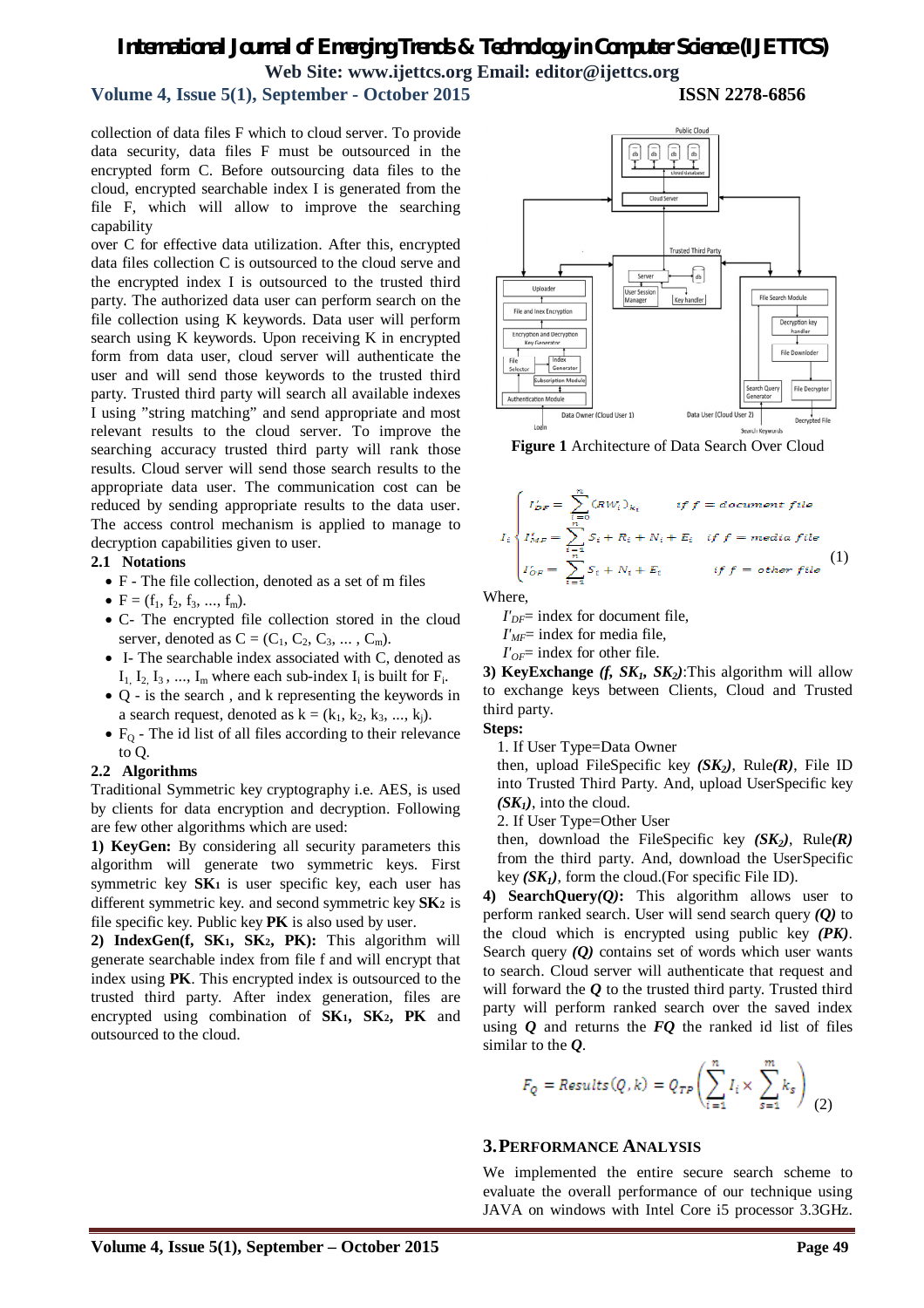## *International Journal of Emerging Trends & Technology in Computer Science (IJETTCS)* **Web Site: www.ijettcs.org Email: editor@ijettcs.org**

#### **Volume 4, Issue 5(1), September - October 2015 ISSN 2278-6856**

collection of data files F which to cloud server. To provide data security, data files F must be outsourced in the encrypted form C. Before outsourcing data files to the cloud, encrypted searchable index I is generated from the file F, which will allow to improve the searching capability

over C for effective data utilization. After this, encrypted data files collection C is outsourced to the cloud serve and the encrypted index I is outsourced to the trusted third party. The authorized data user can perform search on the file collection using K keywords. Data user will perform search using K keywords. Upon receiving K in encrypted form from data user, cloud server will authenticate the user and will send those keywords to the trusted third party. Trusted third party will search all available indexes I using "string matching" and send appropriate and most relevant results to the cloud server. To improve the searching accuracy trusted third party will rank those results. Cloud server will send those search results to the appropriate data user. The communication cost can be reduced by sending appropriate results to the data user. The access control mechanism is applied to manage to decryption capabilities given to user.

#### **2.1 Notations**

- F The file collection, denoted as a set of m files
- $F = (f_1, f_2, f_3, ..., f_m).$
- C- The encrypted file collection stored in the cloud server, denoted as  $C = (C_1, C_2, C_3, \dots, C_m)$ .
- I- The searchable index associated with C, denoted as  $I_1$ ,  $I_2$ ,  $I_3$ , ...,  $I_m$  where each sub-index  $I_i$  is built for  $F_i$ .
- Q is the search , and k representing the keywords in a search request, denoted as  $k = (k_1, k_2, k_3, ..., k_i)$ .
- $\bullet$  F<sub>O</sub> The id list of all files according to their relevance to Q.

#### **2.2 Algorithms**

Traditional Symmetric key cryptography i.e. AES, is used by clients for data encryption and decryption. Following are few other algorithms which are used:

**1) KeyGen:** By considering all security parameters this algorithm will generate two symmetric keys. First symmetric key **SK1** is user specific key, each user has different symmetric key. and second symmetric key **SK2** is file specific key. Public key **PK** is also used by user.

**2) IndexGen(f, SK1, SK2, PK):** This algorithm will generate searchable index from file f and will encrypt that index using **PK**. This encrypted index is outsourced to the trusted third party. After index generation, files are encrypted using combination of **SK1, SK2, PK** and outsourced to the cloud.



**Figure 1** Architecture of Data Search Over Cloud

$$
I_i \begin{cases} I'_{DF} = \sum_{i=0}^{n} (RW_i)_{k_i} & if f = document file \\ I'_{MF} = \sum_{i=1}^{n} S_i + R_i + N_i + E_i & if f = media file \\ I'_{OF} = \sum_{i=1}^{n} S_i + N_i + E_i & if f = other file \end{cases} (1)
$$

Where,

 $I'_{DF}$ = index for document file,

*I'MF*= index for media file,

 $I'_{OF}$ = index for other file.

**3) KeyExchange** *(f, SK1, SK2)*:This algorithm will allow to exchange keys between Clients, Cloud and Trusted third party.

**Steps:**

1. If User Type=Data Owner

then, upload FileSpecific key *(SK2)*, Rule*(R)*, File ID into Trusted Third Party. And, upload UserSpecific key  $(SK_1)$ , into the cloud.

2. If User Type=Other User

then, download the FileSpecific key *(SK2)*, Rule*(R)* from the third party. And, download the UserSpecific key  $(SK_1)$ , form the cloud. (For specific File ID).

**4) SearchQuery***(Q)***:** This algorithm allows user to perform ranked search. User will send search query *(Q)* to the cloud which is encrypted using public key *(PK)*. Search query *(Q)* contains set of words which user wants to search. Cloud server will authenticate that request and will forward the *Q* to the trusted third party. Trusted third party will perform ranked search over the saved index using *Q* and returns the *FQ* the ranked id list of files similar to the *Q*.

$$
F_Q = Results(Q, k) = Q_{TP} \left( \sum_{i=1}^{n} I_i \times \sum_{s=1}^{m} k_s \right) \tag{2}
$$

#### **3.PERFORMANCE ANALYSIS**

We implemented the entire secure search scheme to evaluate the overall performance of our technique using JAVA on windows with Intel Core i5 processor 3.3GHz.